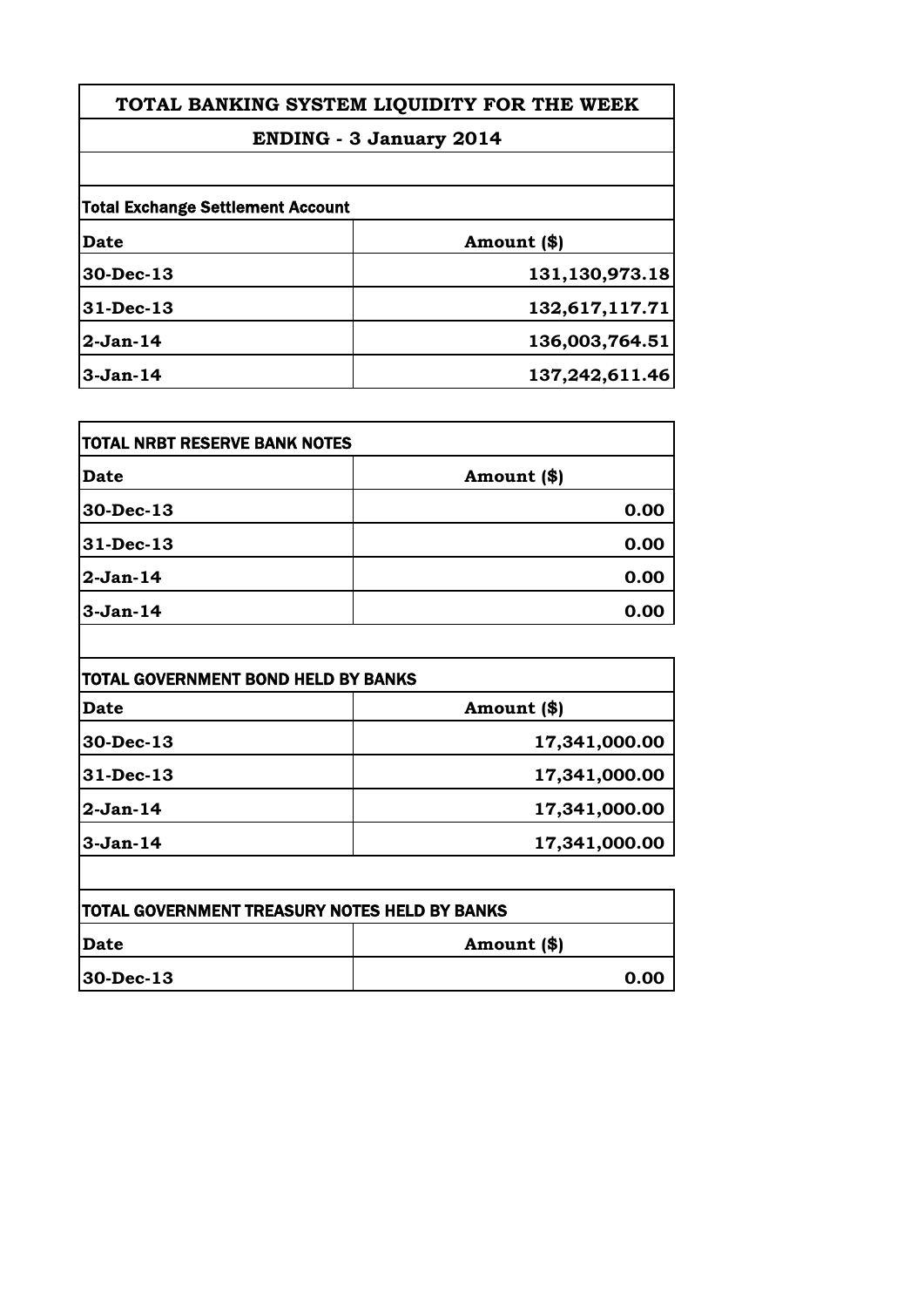# **ENDING - 3 January 2014**

| <b>Total Exchange Settlement Account</b> |                |
|------------------------------------------|----------------|
| <b>Date</b>                              | Amount (\$)    |
| 30-Dec-13                                | 131,130,973.18 |
| 31-Dec-13                                | 132,617,117.71 |
| $2-Jan-14$                               | 136,003,764.51 |
| $3-Jan-14$                               | 137,242,611.46 |

| TOTAL NRBT RESERVE BANK NOTES |             |
|-------------------------------|-------------|
| <b>Date</b>                   | Amount (\$) |
| 30-Dec-13                     | 0.00        |
| 31-Dec-13                     | 0.00        |
| $2-Jan-14$                    | 0.00        |
| $3-Jan-14$                    | 0.00        |

| <b>TOTAL GOVERNMENT BOND HELD BY BANKS</b> |               |
|--------------------------------------------|---------------|
| Date                                       | Amount (\$)   |
| 30-Dec-13                                  | 17,341,000.00 |
| 31-Dec-13                                  | 17,341,000.00 |
| $2-Jan-14$                                 | 17,341,000.00 |
| $3-Jan-14$                                 | 17,341,000.00 |

| <b>TOTAL GOVERNMENT TREASURY NOTES HELD BY BANKS</b> |             |
|------------------------------------------------------|-------------|
| <b>IDate</b>                                         | Amount (\$) |
| $ 30 - Dec - 13 $                                    | 0.00        |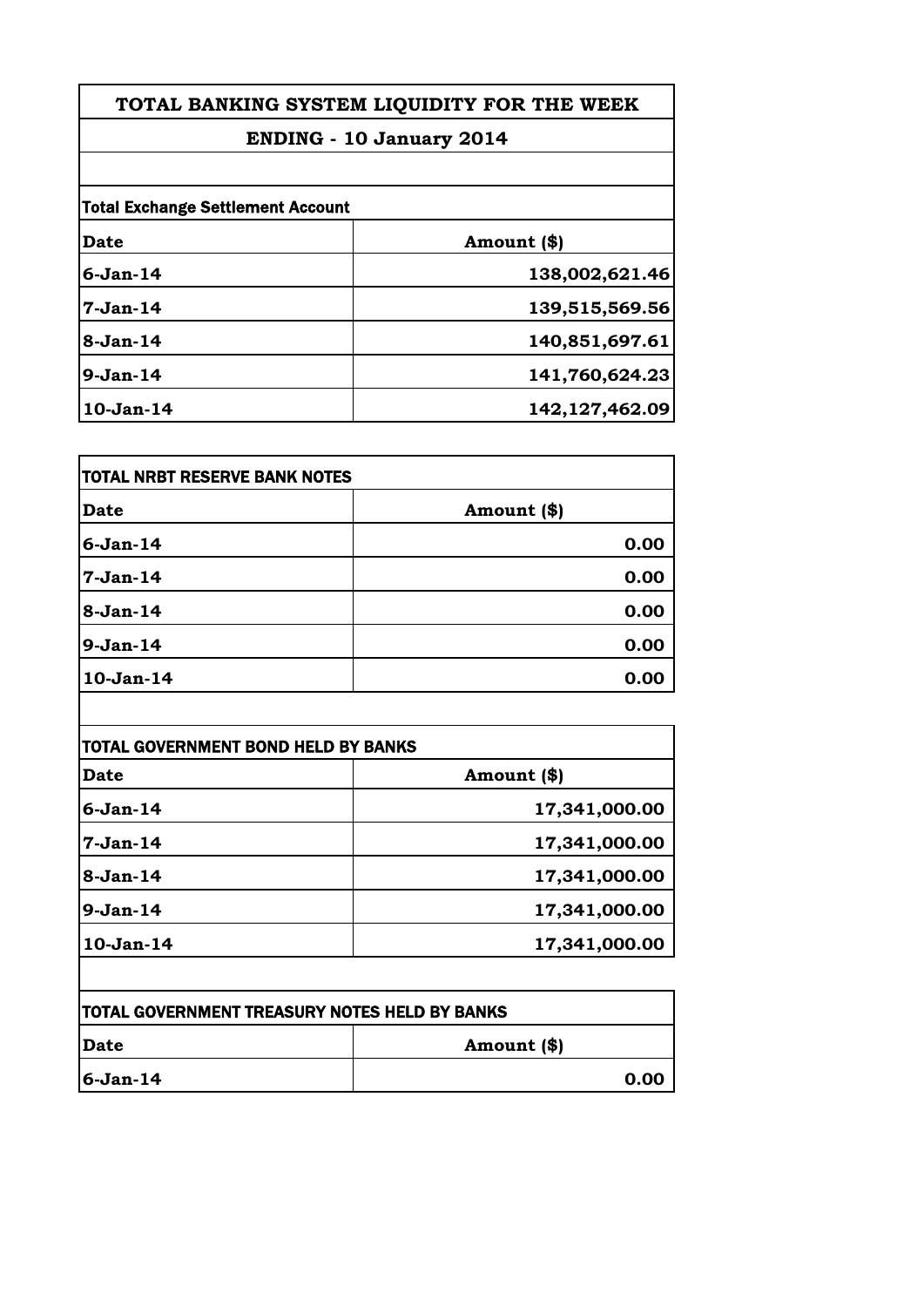# **ENDING - 10 January 2014**

| <b>Total Exchange Settlement Account</b> |                |
|------------------------------------------|----------------|
| Date                                     | Amount (\$)    |
| $6-Jan-14$                               | 138,002,621.46 |
| $7-Jan-14$                               | 139,515,569.56 |
| 8-Jan-14                                 | 140,851,697.61 |
| $9-Jan-14$                               | 141,760,624.23 |
| 10-Jan-14                                | 142,127,462.09 |

| <b>TOTAL NRBT RESERVE BANK NOTES</b> |             |
|--------------------------------------|-------------|
| <b>Date</b>                          | Amount (\$) |
| <b>6-Jan-14</b>                      | 0.00        |
| 7-Jan-14                             | 0.00        |
| 8-Jan-14                             | 0.00        |
| 9-Jan-14                             | 0.00        |
| 10-Jan-14                            | 0.00        |

| <b>Date</b> | Amount (\$)   |
|-------------|---------------|
| $6-Jan-14$  | 17,341,000.00 |
| $7-Jan-14$  | 17,341,000.00 |
| $8-Jan-14$  | 17,341,000.00 |
| $9-Jan-14$  | 17,341,000.00 |
| $10-Jan-14$ | 17,341,000.00 |

| <b>TOTAL GOVERNMENT TREASURY NOTES HELD BY BANKS</b> |             |
|------------------------------------------------------|-------------|
| <b>IDate</b>                                         | Amount (\$) |
| $ 6-Jan-14 $                                         | 0.00        |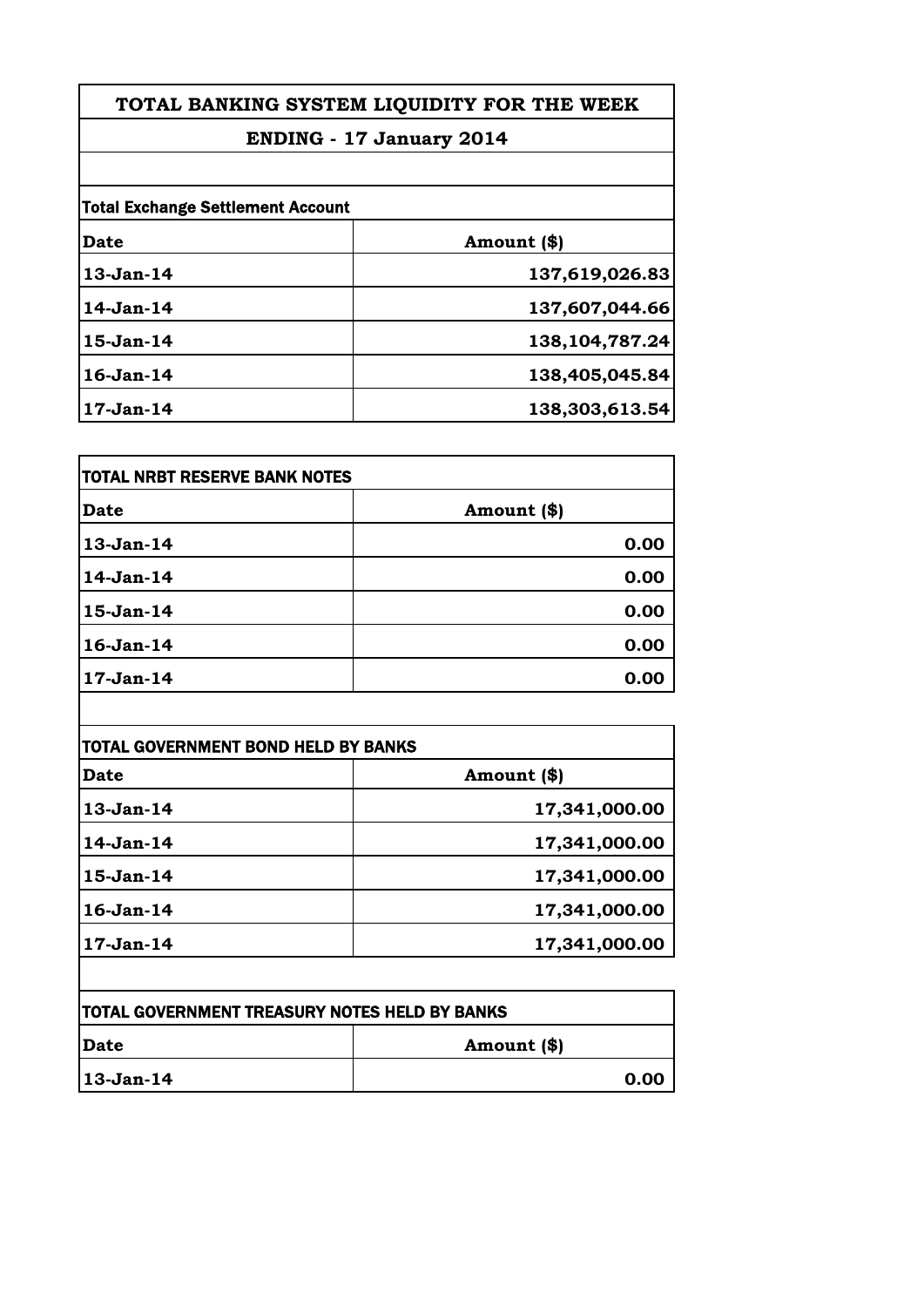# **ENDING - 17 January 2014**

| <b>Total Exchange Settlement Account</b> |                   |
|------------------------------------------|-------------------|
| Date                                     | Amount (\$)       |
| 13-Jan-14                                | 137,619,026.83    |
| 14-Jan-14                                | 137,607,044.66    |
| 15-Jan-14                                | 138, 104, 787. 24 |
| $16$ -Jan- $14$                          | 138,405,045.84    |
| $17-Jan-14$                              | 138,303,613.54    |

| <b>Date</b> | Amount (\$) |
|-------------|-------------|
| 13-Jan-14   | 0.00        |
| 14-Jan-14   | 0.00        |
| 15-Jan-14   | 0.00        |
| 16-Jan-14   | 0.00        |
| $17-Jan-14$ | 0.00        |

| Date            | Amount (\$)   |
|-----------------|---------------|
| $13-Jan-14$     | 17,341,000.00 |
| $14$ -Jan-14    | 17,341,000.00 |
| $15-Jan-14$     | 17,341,000.00 |
| $16$ -Jan- $14$ | 17,341,000.00 |
| $17-Jan-14$     | 17,341,000.00 |

| <b>TOTAL GOVERNMENT TREASURY NOTES HELD BY BANKS</b> |             |
|------------------------------------------------------|-------------|
| <b>IDate</b>                                         | Amount (\$) |
| 13-Jan-14                                            | 0.00        |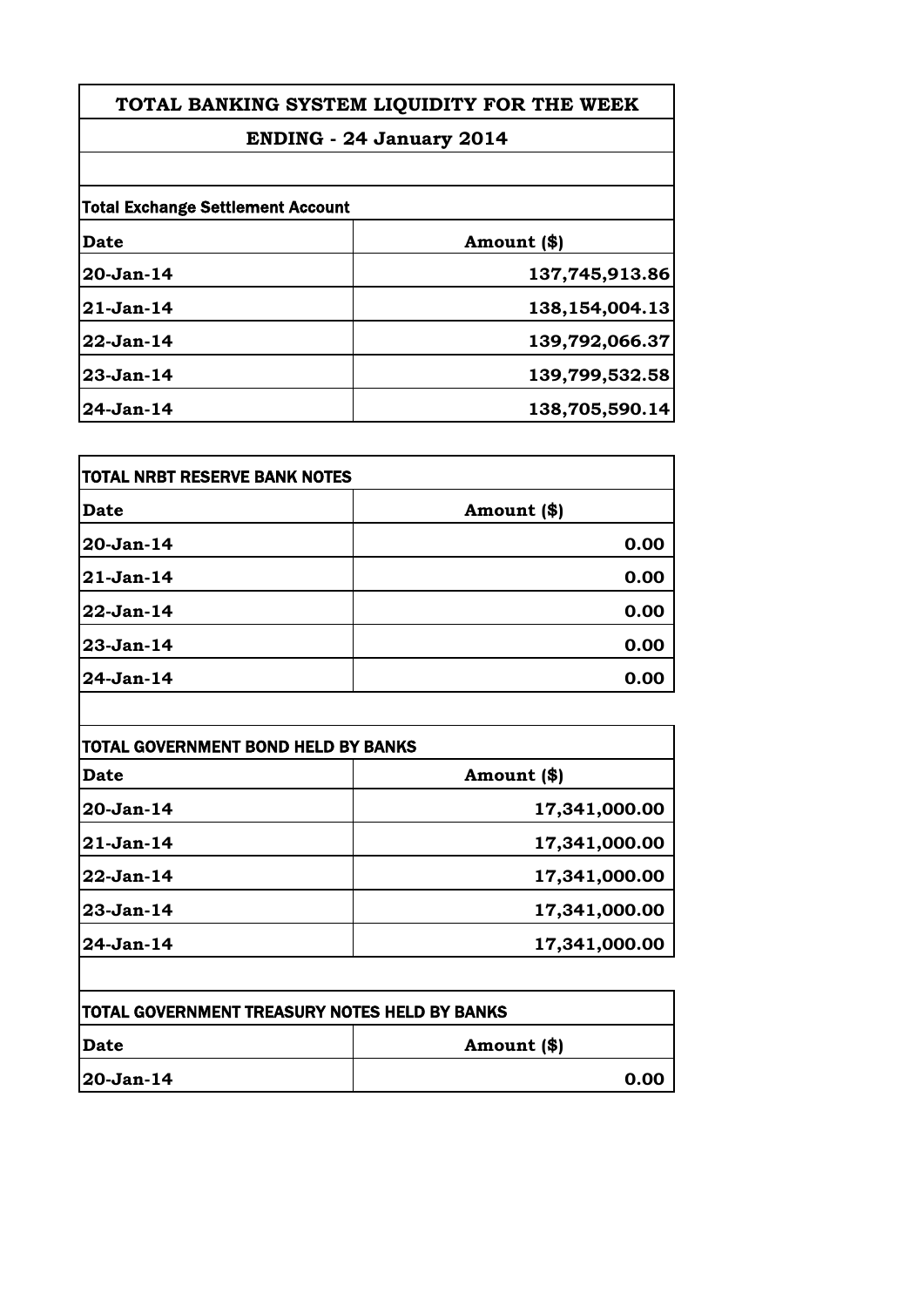# **ENDING - 24 January 2014**

| <b>Total Exchange Settlement Account</b> |                |
|------------------------------------------|----------------|
| <b>Date</b>                              | Amount (\$)    |
| 20-Jan-14                                | 137,745,913.86 |
| $21-Jan-14$                              | 138,154,004.13 |
| $22-Jan-14$                              | 139,792,066.37 |
| $23-Jan-14$                              | 139,799,532.58 |
| 24-Jan-14                                | 138,705,590.14 |

| <b>Date</b> | Amount (\$) |
|-------------|-------------|
| 20-Jan-14   | 0.00        |
| $21-Jan-14$ | 0.00        |
| 22-Jan-14   | 0.00        |
| 23-Jan-14   | 0.00        |
| 24-Jan-14   | 0.00        |

| Date          | Amount (\$)   |
|---------------|---------------|
| $20 - Jan-14$ | 17,341,000.00 |
| $21-Jan-14$   | 17,341,000.00 |
| $22$ -Jan-14  | 17,341,000.00 |
| $23-Jan-14$   | 17,341,000.00 |
| $24$ -Jan-14  | 17,341,000.00 |

| <b>TOTAL GOVERNMENT TREASURY NOTES HELD BY BANKS</b> |             |
|------------------------------------------------------|-------------|
| <b>IDate</b>                                         | Amount (\$) |
| $ 20 - Jan - 14 $                                    | 0.00        |